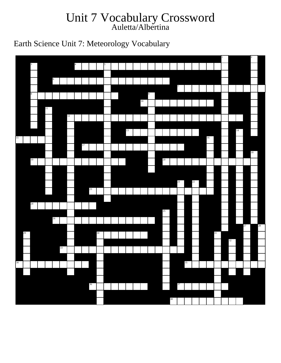## Unit 7 Vocabulary Crossword Auletta/Albertina

Earth Science Unit 7: Meteorology Vocabulary